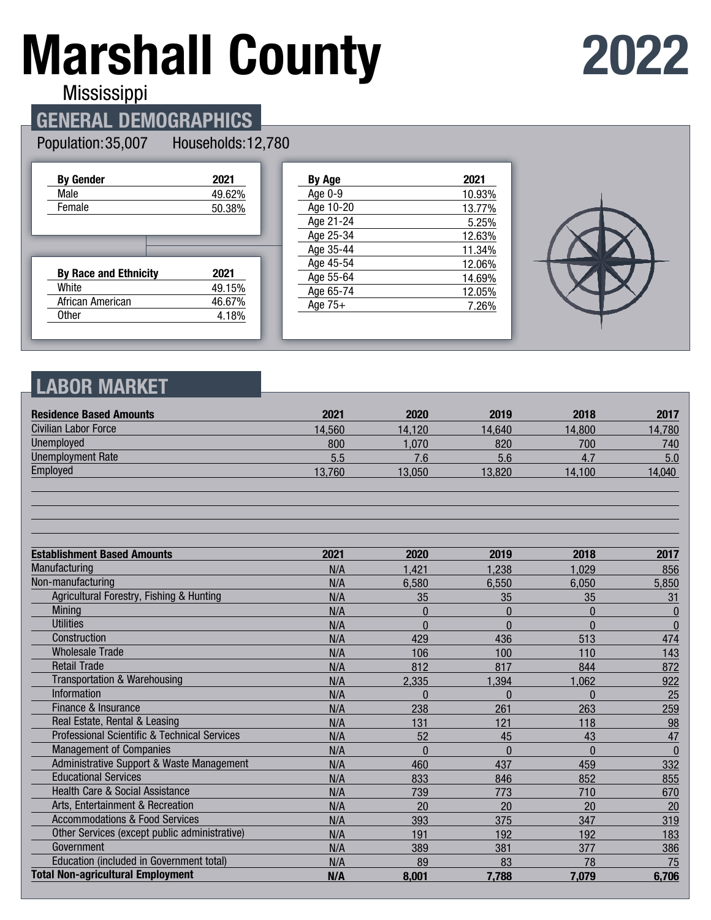# **Marshall County**

## **2022**

Mississippi

#### **GENERAL DEMOGRAPHICS**

#### Population: 35,007 Households: 12,780

| <b>By Gender</b>             | 2021   |
|------------------------------|--------|
| Male                         | 49.62% |
| Female                       | 50.38% |
|                              |        |
|                              |        |
|                              |        |
|                              |        |
| <b>By Race and Ethnicity</b> | 2021   |
| White                        | 49.15% |
| African American             | 46.67% |

| By Age    | 2021   |
|-----------|--------|
| Age 0-9   | 10.93% |
| Age 10-20 | 13.77% |
| Age 21-24 | 5.25%  |
| Age 25-34 | 12.63% |
| Age 35-44 | 11.34% |
| Age 45-54 | 12.06% |
| Age 55-64 | 14.69% |
| Age 65-74 | 12.05% |
| Age $75+$ | 7.26%  |
|           |        |



#### **LABOR MARKET**

| <b>Residence Based Amounts</b>                          | 2021   | 2020           | 2019     | 2018         | 2017             |
|---------------------------------------------------------|--------|----------------|----------|--------------|------------------|
| Civilian Labor Force                                    | 14,560 | 14.120         | 14,640   | 14,800       | 14,780           |
| Unemployed                                              | 800    | 1,070          | 820      | 700          | 740              |
| <b>Unemployment Rate</b>                                | 5.5    | 7.6            | 5.6      | 4.7          | 5.0              |
| Employed                                                | 13,760 | 13,050         | 13,820   | 14,100       | 14,040           |
|                                                         |        |                |          |              |                  |
| <b>Establishment Based Amounts</b>                      | 2021   | 2020           | 2019     | 2018         | 2017             |
| Manufacturing                                           | N/A    | 1,421          | 1,238    | 1,029        | 856              |
| Non-manufacturing                                       | N/A    | 6,580          | 6,550    | 6,050        | 5,850            |
| Agricultural Forestry, Fishing & Hunting                | N/A    | 35             | 35       | 35           | 31               |
| <b>Mining</b>                                           | N/A    | $\overline{0}$ | $\Omega$ | $\mathbf{0}$ | $\boldsymbol{0}$ |
| <b>Utilities</b>                                        | N/A    | $\Omega$       | $\Omega$ | $\Omega$     | $\bf{0}$         |
| Construction                                            | N/A    | 429            | 436      | 513          | 474              |
| <b>Wholesale Trade</b>                                  | N/A    | 106            | 100      | 110          | 143              |
| <b>Retail Trade</b>                                     | N/A    | 812            | 817      | 844          | 872              |
| Transportation & Warehousing                            | N/A    | 2,335          | 1,394    | 1,062        | 922              |
| <b>Information</b>                                      | N/A    | $\Omega$       | $\Omega$ | $\bf{0}$     | 25               |
| Finance & Insurance                                     | N/A    | 238            | 261      | 263          | 259              |
| Real Estate, Rental & Leasing                           | N/A    | 131            | 121      | 118          | 98               |
| <b>Professional Scientific &amp; Technical Services</b> | N/A    | 52             | 45       | 43           | 47               |
| <b>Management of Companies</b>                          | N/A    | $\Omega$       | $\Omega$ | $\Omega$     | $\mathbf{0}$     |
| Administrative Support & Waste Management               | N/A    | 460            | 437      | 459          | 332              |
| <b>Educational Services</b>                             | N/A    | 833            | 846      | 852          | 855              |
| <b>Health Care &amp; Social Assistance</b>              | N/A    | 739            | 773      | 710          | 670              |
| Arts, Entertainment & Recreation                        | N/A    | 20             | 20       | 20           | 20               |
| <b>Accommodations &amp; Food Services</b>               | N/A    | 393            | 375      | 347          | 319              |
| Other Services (except public administrative)           | N/A    | 191            | 192      | 192          | 183              |
| Government                                              | N/A    | 389            | 381      | 377          | 386              |
| Education (included in Government total)                | N/A    | 89             | 83       | 78           | 75               |
| <b>Total Non-agricultural Employment</b>                | N/A    | 8,001          | 7,788    | 7,079        | 6,706            |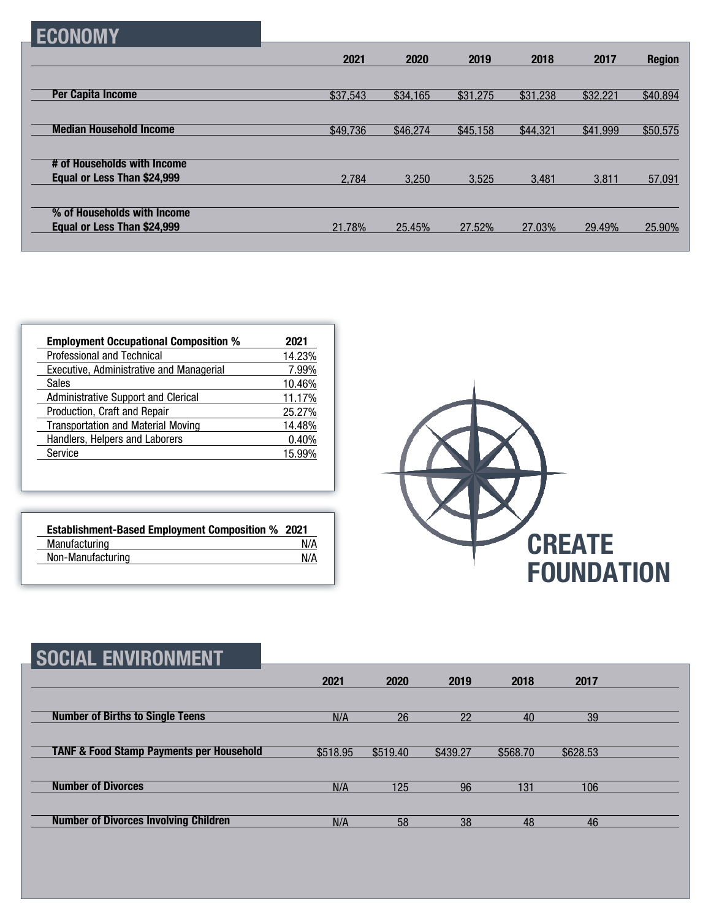| <b>ECONOMY</b>                 |          |          |          |          |          |               |
|--------------------------------|----------|----------|----------|----------|----------|---------------|
|                                | 2021     | 2020     | 2019     | 2018     | 2017     | <b>Region</b> |
|                                |          |          |          |          |          |               |
| <b>Per Capita Income</b>       | \$37,543 | \$34,165 | \$31,275 | \$31,238 | \$32,221 | \$40,894      |
|                                |          |          |          |          |          |               |
| <b>Median Household Income</b> | \$49,736 | \$46,274 | \$45,158 | \$44,321 | \$41,999 | \$50,575      |
|                                |          |          |          |          |          |               |
| # of Households with Income    |          |          |          |          |          |               |
| Equal or Less Than \$24,999    | 2,784    | 3,250    | 3,525    | 3,481    | 3,811    | 57,091        |
|                                |          |          |          |          |          |               |
| % of Households with Income    |          |          |          |          |          |               |
| Equal or Less Than \$24,999    | 21.78%   | 25.45%   | 27.52%   | 27.03%   | 29.49%   | 25.90%        |

| <b>Employment Occupational Composition %</b> | 2021   |
|----------------------------------------------|--------|
| Professional and Technical                   | 14.23% |
| Executive, Administrative and Managerial     | 7.99%  |
| <b>Sales</b>                                 | 10.46% |
| Administrative Support and Clerical          | 11.17% |
| Production, Craft and Repair                 | 25.27% |
| <b>Transportation and Material Moving</b>    | 14.48% |
| Handlers, Helpers and Laborers               | 0.40%  |
| Service                                      | 15.99% |

| <b>Establishment-Based Employment Composition % 2021</b> |     |
|----------------------------------------------------------|-----|
| Manufacturing                                            | N/A |
| Non-Manufacturing                                        | N/A |



| SOCIAL ENVIRONMENT                                  |          |          |          |          |          |  |
|-----------------------------------------------------|----------|----------|----------|----------|----------|--|
|                                                     | 2021     | 2020     | 2019     | 2018     | 2017     |  |
| <b>Number of Births to Single Teens</b>             | N/A      | 26       | 22       | 40       | 39       |  |
| <b>TANF &amp; Food Stamp Payments per Household</b> | \$518.95 | \$519.40 | \$439.27 | \$568.70 | \$628.53 |  |
| <b>Number of Divorces</b>                           | N/A      | 125      | 96       | 131      | 106      |  |
| <b>Number of Divorces Involving Children</b>        | N/A      | 58       | 38       | 48       | 46       |  |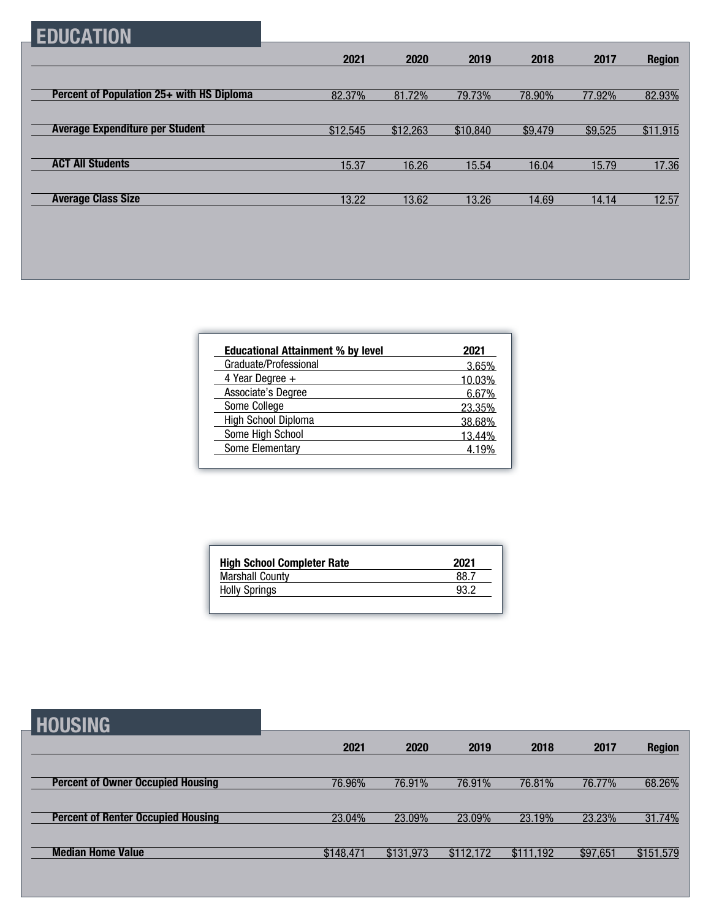### **EDUCATION**

|                                           | 2021     | 2020     | 2019     | 2018    | 2017    | <b>Region</b> |
|-------------------------------------------|----------|----------|----------|---------|---------|---------------|
|                                           |          |          |          |         |         |               |
| Percent of Population 25+ with HS Diploma | 82.37%   | 81.72%   | 79.73%   | 78.90%  | 77.92%  | 82.93%        |
|                                           |          |          |          |         |         |               |
| <b>Average Expenditure per Student</b>    | \$12,545 | \$12,263 | \$10,840 | \$9,479 | \$9,525 | \$11,915      |
|                                           |          |          |          |         |         |               |
| <b>ACT All Students</b>                   | 15.37    | 16.26    | 15.54    | 16.04   | 15.79   | 17.36         |
|                                           |          |          |          |         |         |               |
| <b>Average Class Size</b>                 | 13.22    | 13.62    | 13.26    | 14.69   | 14.14   | 12.57         |

| <b>Educational Attainment % by level</b> | 2021   |
|------------------------------------------|--------|
| Graduate/Professional                    | 3.65%  |
| 4 Year Degree $+$                        | 10.03% |
| Associate's Degree                       | 6.67%  |
| Some College                             | 23.35% |
| High School Diploma                      | 38.68% |
| Some High School                         | 13.44% |
| Some Elementary                          | 4 19%  |

| <b>High School Completer Rate</b> | 2021 |
|-----------------------------------|------|
| <b>Marshall County</b>            | 88 ° |
| <b>Holly Springs</b>              | 93.2 |

#### **HOUSING**

| ---------                                 |           |           |           |           |          |               |
|-------------------------------------------|-----------|-----------|-----------|-----------|----------|---------------|
|                                           | 2021      | 2020      | 2019      | 2018      | 2017     | <b>Region</b> |
|                                           |           |           |           |           |          |               |
| <b>Percent of Owner Occupied Housing</b>  | 76.96%    | 76.91%    | 76.91%    | 76.81%    | 76.77%   | 68.26%        |
|                                           |           |           |           |           |          |               |
| <b>Percent of Renter Occupied Housing</b> | 23.04%    | 23.09%    | 23.09%    | 23.19%    | 23.23%   | 31.74%        |
|                                           |           |           |           |           |          |               |
| <b>Median Home Value</b>                  | \$148,471 | \$131,973 | \$112,172 | \$111,192 | \$97,651 | \$151,579     |
|                                           |           |           |           |           |          |               |